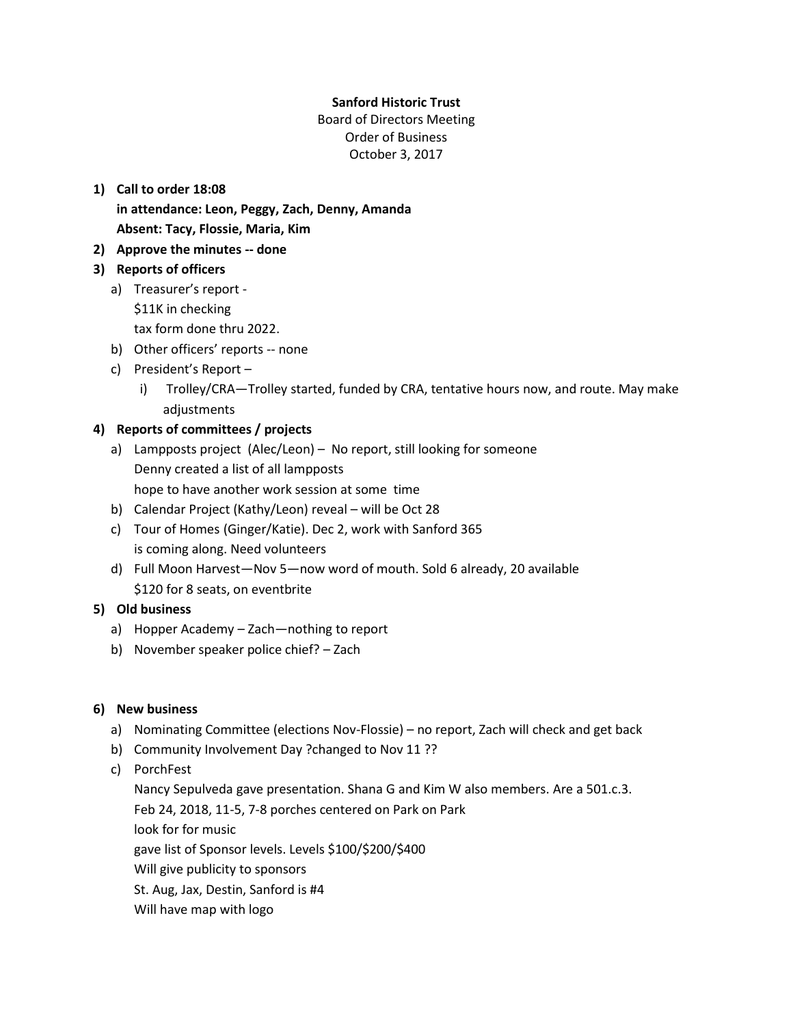#### **Sanford Historic Trust**

Board of Directors Meeting Order of Business October 3, 2017

# **1) Call to order 18:08**

**in attendance: Leon, Peggy, Zach, Denny, Amanda Absent: Tacy, Flossie, Maria, Kim**

**2) Approve the minutes -- done**

### **3) Reports of officers**

- a) Treasurer's report
	- \$11K in checking
	- tax form done thru 2022.
- b) Other officers' reports -- none
- c) President's Report
	- i) Trolley/CRA—Trolley started, funded by CRA, tentative hours now, and route. May make adjustments

### **4) Reports of committees / projects**

- a) Lampposts project (Alec/Leon) No report, still looking for someone Denny created a list of all lampposts hope to have another work session at some time
- b) Calendar Project (Kathy/Leon) reveal will be Oct 28
- c) Tour of Homes (Ginger/Katie). Dec 2, work with Sanford 365 is coming along. Need volunteers
- d) Full Moon Harvest—Nov 5—now word of mouth. Sold 6 already, 20 available \$120 for 8 seats, on eventbrite

## **5) Old business**

- a) Hopper Academy Zach—nothing to report
- b) November speaker police chief? Zach

#### **6) New business**

- a) Nominating Committee (elections Nov-Flossie) no report, Zach will check and get back
- b) Community Involvement Day ?changed to Nov 11 ??
- c) PorchFest

Nancy Sepulveda gave presentation. Shana G and Kim W also members. Are a 501.c.3. Feb 24, 2018, 11-5, 7-8 porches centered on Park on Park look for for music gave list of Sponsor levels. Levels \$100/\$200/\$400 Will give publicity to sponsors St. Aug, Jax, Destin, Sanford is #4 Will have map with logo